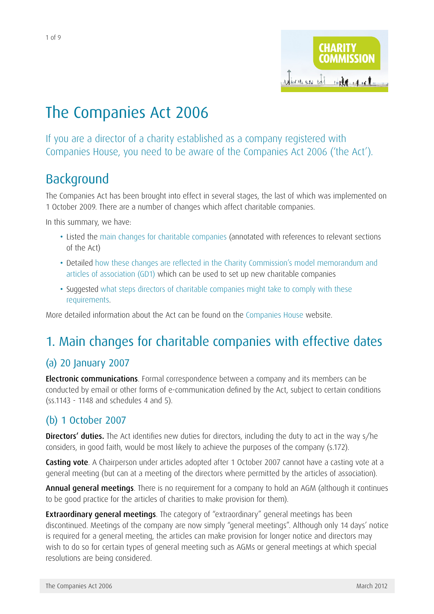

# The Companies Act 2006

If you are a director of a charity established as a company registered with Companies House, you need to be aware of the Companies Act 2006 ('the Act').

## Background

The Companies Act has been brought into effect in several stages, the last of which was implemented on 1 October 2009. There are a number of changes which affect charitable companies.

In this summary, we have:

- Listed the [main changes for charitable companies](#page-0-0) (annotated with references to relevant sections of the Act)
- Detailed how these changes are reflected in the Charity Commission's model memorandum and articles of association (GD1) which can be used to set up new charitable companies
- Suggested what steps directors of charitable companies might take to comply with these requirements.

More detailed information about the Act can be found on the [Companies House](http://www.companieshouse.gov.uk/companiesAct/companiesAct.shtml) website.

### <span id="page-0-0"></span>1. Main changes for charitable companies with effective dates

#### (a) 20 January 2007

**Electronic communications**. Formal correspondence between a company and its members can be conducted by email or other forms of e-communication defined by the Act, subject to certain conditions (ss.1143 - 1148 and schedules 4 and 5).

#### (b) 1 October 2007

**Directors' duties.** The Act identifies new duties for directors, including the duty to act in the way s/he considers, in good faith, would be most likely to achieve the purposes of the company (s.172).

Casting vote. A Chairperson under articles adopted after 1 October 2007 cannot have a casting vote at a general meeting (but can at a meeting of the directors where permitted by the articles of association).

Annual general meetings. There is no requirement for a company to hold an AGM (although it continues to be good practice for the articles of charities to make provision for them).

**Extraordinary general meetings**. The category of "extraordinary" general meetings has been discontinued. Meetings of the company are now simply "general meetings". Although only 14 days' notice is required for a general meeting, the articles can make provision for longer notice and directors may wish to do so for certain types of general meeting such as AGMs or general meetings at which special resolutions are being considered.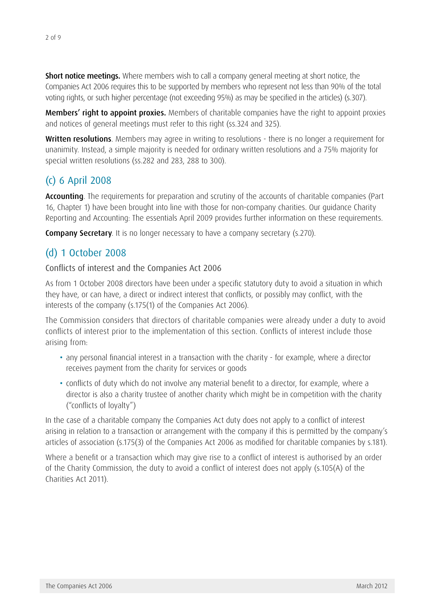**Short notice meetings.** Where members wish to call a company general meeting at short notice, the Companies Act 2006 requires this to be supported by members who represent not less than 90% of the total voting rights, or such higher percentage (not exceeding 95%) as may be specified in the articles) (s.307).

Members' right to appoint proxies. Members of charitable companies have the right to appoint proxies and notices of general meetings must refer to this right (ss.324 and 325).

Written resolutions. Members may agree in writing to resolutions - there is no longer a requirement for unanimity. Instead, a simple majority is needed for ordinary written resolutions and a 75% majority for special written resolutions (ss.282 and 283, 288 to 300).

### (c) 6 April 2008

Accounting. The requirements for preparation and scrutiny of the accounts of charitable companies (Part 16, Chapter 1) have been brought into line with those for non-company charities. Our guidance [Charity](http://www.charitycommission.gov.uk/detailed-guidance/money-and-accounts/charity-reporting-and-accounting-the-essentials-2009-cc15b/)  [Reporting and Accounting: The essentials April 2009](http://www.charitycommission.gov.uk/detailed-guidance/money-and-accounts/charity-reporting-and-accounting-the-essentials-2009-cc15b/) provides further information on these requirements.

**Company Secretary**. It is no longer necessary to have a company secretary (s.270).

#### (d) 1 October 2008

#### Conflicts of interest and the Companies Act 2006

As from 1 October 2008 directors have been under a specific statutory duty to avoid a situation in which they have, or can have, a direct or indirect interest that conflicts, or possibly may conflict, with the interests of the company (s.175(1) of the Companies Act 2006).

The Commission considers that directors of charitable companies were already under a duty to avoid conflicts of interest prior to the implementation of this section. Conflicts of interest include those arising from:

- any personal financial interest in a transaction with the charity for example, where a director receives payment from the charity for services or goods
- conflicts of duty which do not involve any material benefit to a director, for example, where a director is also a charity trustee of another charity which might be in competition with the charity ("conflicts of loyalty")

In the case of a charitable company the Companies Act duty does not apply to a conflict of interest arising in relation to a transaction or arrangement with the company if this is permitted by the company's articles of association (s.175(3) of the Companies Act 2006 as modified for charitable companies by s.181).

Where a benefit or a transaction which may give rise to a conflict of interest is authorised by an order of the Charity Commission, the duty to avoid a conflict of interest does not apply (s.105(A) of the Charities Act 2011).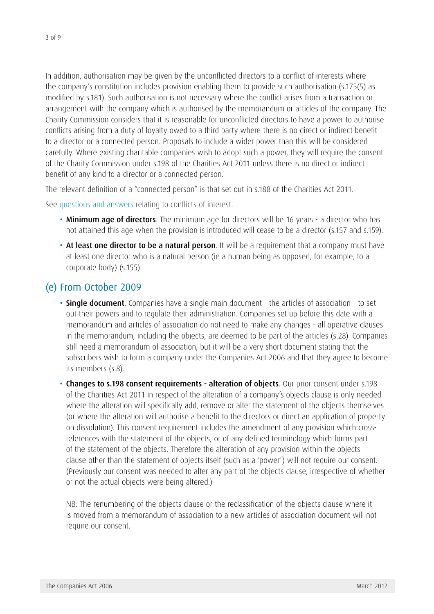In addition, authorisation may be given by the unconflicted directors to a conflict of interests where the company's constitution includes provision enabling them to provide such authorisation (s.175(5) as modified by s.181). Such authorisation is not necessary where the conflict arises from a transaction or arrangement with the company which is authorised by the memorandum or articles of the company. The Charity Commission considers that it is reasonable for unconflicted directors to have a power to authorise conflicts arising from a duty of loyalty owed to a third party where there is no direct or indirect benefit to a director or a connected person. Proposals to include a wider power than this will be considered carefully. Where existing charitable companies wish to adopt such a power, they will require the consent of the Charity Commission under s.198 of the Charities Act 2011 unless there is no direct or indirect benefit of any kind to a director or a connected person.

The relevant definition of a "connected person" is that set out in s.188 of the Charities Act 2011.

See [questions and answers](http://www.charitycommission.gov.uk/detailed-guidance/trustees-staff-and-volunteers/q-a-conflicts-of-interest-and-the-companies-act-2006/) relating to conflicts of interest.

- Minimum age of directors. The minimum age for directors will be 16 years a director who has not attained this age when the provision is introduced will cease to be a director (s.157 and s.159).
- At least one director to be a natural person. It will be a requirement that a company must have at least one director who is a natural person (ie a human being as opposed, for example, to a corporate body) (s.155).

#### (e) From October 2009

- **Single document**. Companies have a single main document the articles of association to set out their powers and to regulate their administration. Companies set up before this date with a memorandum and articles of association do not need to make any changes - all operative clauses in the memorandum, including the objects, are deemed to be part of the articles (s.28). Companies still need a memorandum of association, but it will be a very short document stating that the subscribers wish to form a company under the Companies Act 2006 and that they agree to become its members (s.8).
- Changes to s.198 consent requirements alteration of objects. Our prior consent under s.198 of the Charities Act 2011 in respect of the alteration of a company's objects clause is only needed where the alteration will specifically add, remove or alter the statement of the objects themselves (or where the alteration will authorise a benefit to the directors or direct an application of property on dissolution). This consent requirement includes the amendment of any provision which crossreferences with the statement of the objects, or of any defined terminology which forms part of the statement of the objects. Therefore the alteration of any provision within the objects clause other than the statement of objects itself (such as a 'power') will not require our consent. (Previously our consent was needed to alter any part of the objects clause, irrespective of whether or not the actual objects were being altered.)

NB: The renumbering of the objects clause or the reclassification of the objects clause where it is moved from a memorandum of association to a new articles of association document will not require our consent.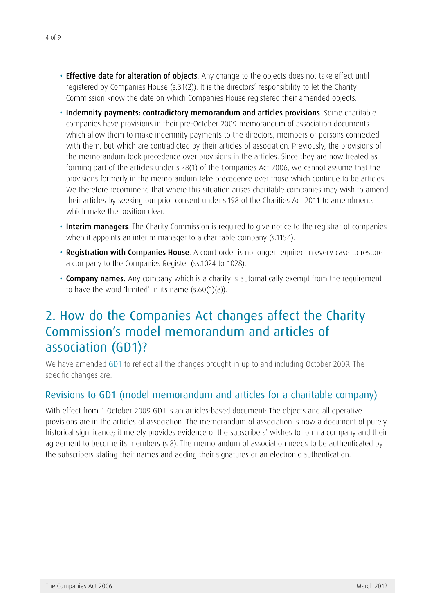- **Effective date for alteration of objects**. Any change to the objects does not take effect until registered by Companies House (s.31(2)). It is the directors' responsibility to let the Charity Commission know the date on which Companies House registered their amended objects.
- Indemnity payments: contradictory memorandum and articles provisions. Some charitable companies have provisions in their pre-October 2009 memorandum of association documents which allow them to make indemnity payments to the directors, members or persons connected with them, but which are contradicted by their articles of association. Previously, the provisions of the memorandum took precedence over provisions in the articles. Since they are now treated as forming part of the articles under s.28(1) of the Companies Act 2006, we cannot assume that the provisions formerly in the memorandum take precedence over those which continue to be articles. We therefore recommend that where this situation arises charitable companies may wish to amend their articles by seeking our prior consent under s.198 of the Charities Act 2011 to amendments which make the position clear.
- Interim managers. The Charity Commission is required to give notice to the registrar of companies when it appoints an interim manager to a charitable company (s.1154).
- Registration with Companies House. A court order is no longer required in every case to restore a company to the Companies Register (ss.1024 to 1028).
- **Company names.** Any company which is a charity is automatically exempt from the requirement to have the word 'limited' in its name  $(s.60(1)(a))$ .

## 2. How do the Companies Act changes affect the Charity Commission's model memorandum and articles of association (GD1)?

We have amended [GD1](http://www.charitycommission.gov.uk/detailed-guidance/managing-your-charity/the-companies-act-2006/) to reflect all the changes brought in up to and including October 2009. The specific changes are:

#### Revisions to GD1 (model memorandum and articles for a charitable company)

With effect from 1 October 2009 GD1 is an articles-based document: The objects and all operative provisions are in the articles of association. The memorandum of association is now a document of purely historical significance; it merely provides evidence of the subscribers' wishes to form a company and their agreement to become its members (s.8). The memorandum of association needs to be authenticated by the subscribers stating their names and adding their signatures or an electronic authentication.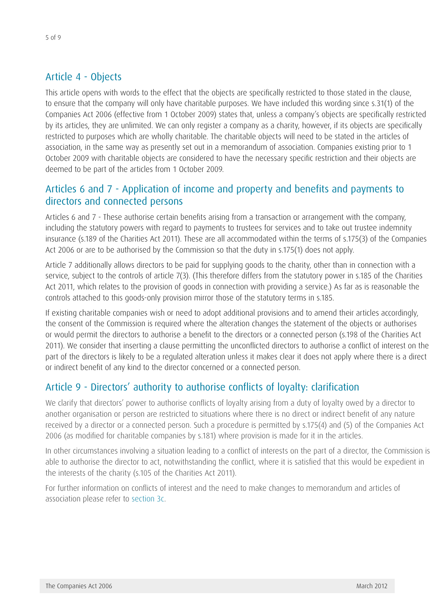#### Article 4 - Objects

This article opens with words to the effect that the objects are specifically restricted to those stated in the clause, to ensure that the company will only have charitable purposes. We have included this wording since s.31(1) of the Companies Act 2006 (effective from 1 October 2009) states that, unless a company's objects are specifically restricted by its articles, they are unlimited. We can only register a company as a charity, however, if its objects are specifically restricted to purposes which are wholly charitable. The charitable objects will need to be stated in the articles of association, in the same way as presently set out in a memorandum of association. Companies existing prior to 1 October 2009 with charitable objects are considered to have the necessary specific restriction and their objects are deemed to be part of the articles from 1 October 2009.

#### Articles 6 and 7 - Application of income and property and benefits and payments to directors and connected persons

Articles 6 and 7 - These authorise certain benefits arising from a transaction or arrangement with the company, including the statutory powers with regard to payments to trustees for services and to take out trustee indemnity insurance (s.189 of the Charities Act 2011). These are all accommodated within the terms of s.175(3) of the Companies Act 2006 or are to be authorised by the Commission so that the duty in s.175(1) does not apply.

Article 7 additionally allows directors to be paid for supplying goods to the charity, other than in connection with a service, subject to the controls of article 7(3). (This therefore differs from the statutory power in s.185 of the Charities Act 2011, which relates to the provision of goods in connection with providing a service.) As far as is reasonable the controls attached to this goods-only provision mirror those of the statutory terms in s.185.

If existing charitable companies wish or need to adopt additional provisions and to amend their articles accordingly, the consent of the Commission is required where the alteration changes the statement of the objects or authorises or would permit the directors to authorise a benefit to the directors or a connected person (s.198 of the Charities Act 2011). We consider that inserting a clause permitting the unconflicted directors to authorise a conflict of interest on the part of the directors is likely to be a regulated alteration unless it makes clear it does not apply where there is a direct or indirect benefit of any kind to the director concerned or a connected person.

#### Article 9 - Directors' authority to authorise conflicts of loyalty: clarification

We clarify that directors' power to authorise conflicts of loyalty arising from a duty of loyalty owed by a director to another organisation or person are restricted to situations where there is no direct or indirect benefit of any nature received by a director or a connected person. Such a procedure is permitted by s.175(4) and (5) of the Companies Act 2006 (as modified for charitable companies by s.181) where provision is made for it in the articles.

In other circumstances involving a situation leading to a conflict of interests on the part of a director, the Commission is able to authorise the director to act, notwithstanding the conflict, where it is satisfied that this would be expedient in the interests of the charity (s.105 of the Charities Act 2011).

For further information on conflicts of interest and the need to make changes to memorandum and articles of association please refer to [section 3c](#page-7-0).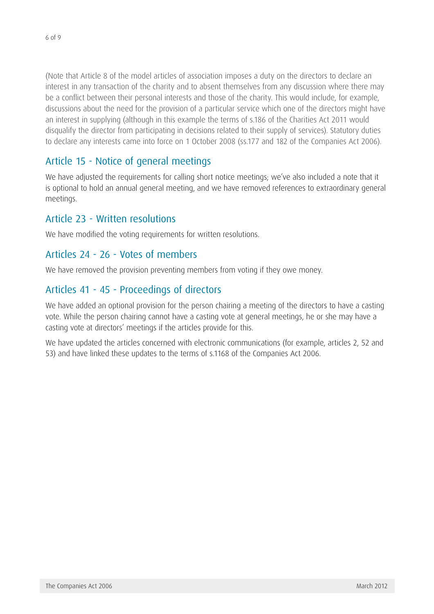(Note that Article 8 of the model articles of association imposes a duty on the directors to declare an interest in any transaction of the charity and to absent themselves from any discussion where there may be a conflict between their personal interests and those of the charity. This would include, for example, discussions about the need for the provision of a particular service which one of the directors might have an interest in supplying (although in this example the terms of s.186 of the Charities Act 2011 would disqualify the director from participating in decisions related to their supply of services). Statutory duties to declare any interests came into force on 1 October 2008 (ss.177 and 182 of the Companies Act 2006).

### Article 15 - Notice of general meetings

We have adjusted the requirements for calling short notice meetings; we've also included a note that it is optional to hold an annual general meeting, and we have removed references to extraordinary general meetings.

#### Article 23 - Written resolutions

We have modified the voting requirements for written resolutions.

#### Articles 24 - 26 - Votes of members

We have removed the provision preventing members from voting if they owe money.

#### Articles 41 - 45 - Proceedings of directors

We have added an optional provision for the person chairing a meeting of the directors to have a casting vote. While the person chairing cannot have a casting vote at general meetings, he or she may have a casting vote at directors' meetings if the articles provide for this.

We have updated the articles concerned with electronic communications (for example, articles 2, 52 and 53) and have linked these updates to the terms of s.1168 of the Companies Act 2006.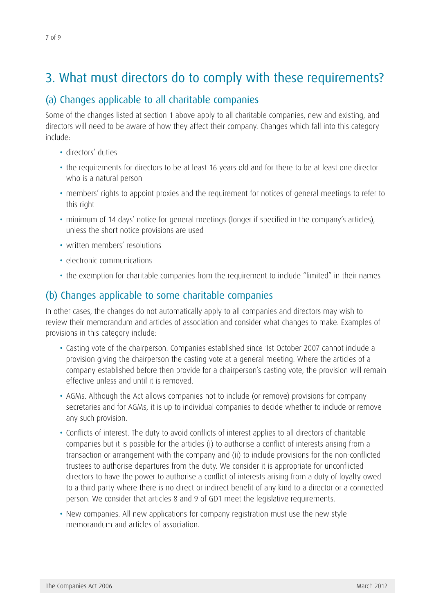# 3. What must directors do to comply with these requirements?

#### (a) Changes applicable to all charitable companies

Some of the changes listed at section 1 above apply to all charitable companies, new and existing, and directors will need to be aware of how they affect their company. Changes which fall into this category include:

- directors' duties
- the requirements for directors to be at least 16 years old and for there to be at least one director who is a natural person
- members' rights to appoint proxies and the requirement for notices of general meetings to refer to this right
- minimum of 14 days' notice for general meetings (longer if specified in the company's articles), unless the short notice provisions are used
- written members' resolutions
- electronic communications
- the exemption for charitable companies from the requirement to include "limited" in their names

#### (b) Changes applicable to some charitable companies

In other cases, the changes do not automatically apply to all companies and directors may wish to review their memorandum and articles of association and consider what changes to make. Examples of provisions in this category include:

- Casting vote of the chairperson. Companies established since 1st October 2007 cannot include a provision giving the chairperson the casting vote at a general meeting. Where the articles of a company established before then provide for a chairperson's casting vote, the provision will remain effective unless and until it is removed.
- AGMs. Although the Act allows companies not to include (or remove) provisions for company secretaries and for AGMs, it is up to individual companies to decide whether to include or remove any such provision.
- Conflicts of interest. The duty to avoid conflicts of interest applies to all directors of charitable companies but it is possible for the articles (i) to authorise a conflict of interests arising from a transaction or arrangement with the company and (ii) to include provisions for the non-conflicted trustees to authorise departures from the duty. We consider it is appropriate for unconflicted directors to have the power to authorise a conflict of interests arising from a duty of loyalty owed to a third party where there is no direct or indirect benefit of any kind to a director or a connected person. We consider that articles 8 and 9 of GD1 meet the legislative requirements.
- New companies. All new applications for company registration must use the new style memorandum and articles of association.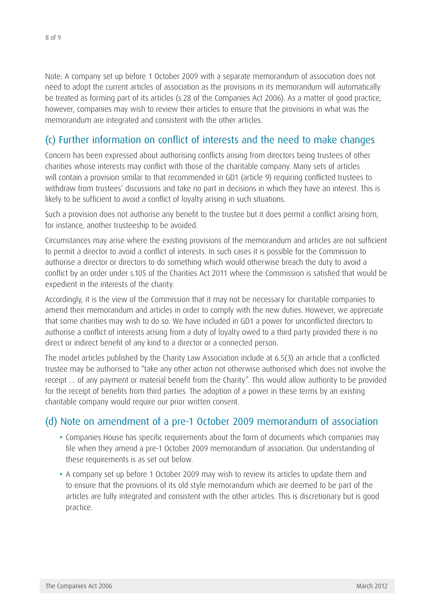Note: A company set up before 1 October 2009 with a separate memorandum of association does not need to adopt the current articles of association as the provisions in its memorandum will automatically be treated as forming part of its articles (s.28 of the Companies Act 2006). As a matter of good practice, however, companies may wish to review their articles to ensure that the provisions in what was the memorandum are integrated and consistent with the other articles.

#### <span id="page-7-0"></span>(c) Further information on conflict of interests and the need to make changes

Concern has been expressed about authorising conflicts arising from directors being trustees of other charities whose interests may conflict with those of the charitable company. Many sets of articles will contain a provision similar to that recommended in GD1 (article 9) requiring conflicted trustees to withdraw from trustees' discussions and take no part in decisions in which they have an interest. This is likely to be sufficient to avoid a conflict of loyalty arising in such situations.

Such a provision does not authorise any benefit to the trustee but it does permit a conflict arising from, for instance, another trusteeship to be avoided.

Circumstances may arise where the existing provisions of the memorandum and articles are not sufficient to permit a director to avoid a conflict of interests. In such cases it is possible for the Commission to authorise a director or directors to do something which would otherwise breach the duty to avoid a conflict by an order under s.105 of the Charities Act 2011 where the Commission is satisfied that would be expedient in the interests of the charity.

Accordingly, it is the view of the Commission that it may not be necessary for charitable companies to amend their memorandum and articles in order to comply with the new duties. However, we appreciate that some charities may wish to do so. We have included in GD1 a power for unconflicted directors to authorise a conflict of interests arising from a duty of loyalty owed to a third party provided there is no direct or indirect benefit of any kind to a director or a connected person.

The model articles published by the Charity Law Association include at 6.5(3) an article that a conflicted trustee may be authorised to "take any other action not otherwise authorised which does not involve the receipt … of any payment or material benefit from the Charity". This would allow authority to be provided for the receipt of benefits from third parties. The adoption of a power in these terms by an existing charitable company would require our prior written consent.

#### (d) Note on amendment of a pre-1 October 2009 memorandum of association

- Companies House has specific requirements about the form of documents which companies may file when they amend a pre-1 October 2009 memorandum of association. Our understanding of these requirements is as set out below.
- A company set up before 1 October 2009 may wish to review its articles to update them and to ensure that the provisions of its old style memorandum which are deemed to be part of the articles are fully integrated and consistent with the other articles. This is discretionary but is good practice.